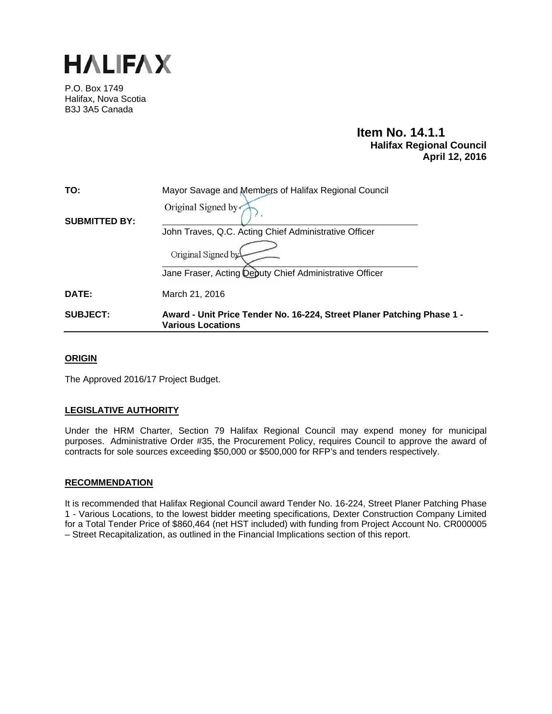

P.O. Box 1749 Halifax, Nova Scotia B3J 3A5 Canada

# **Item No. 14.1.1 Halifax Regional Council April 12, 2016**

| TO:                  | Mayor Savage and Members of Halifax Regional Council                                               |  |  |
|----------------------|----------------------------------------------------------------------------------------------------|--|--|
| <b>SUBMITTED BY:</b> | Original Signed by                                                                                 |  |  |
|                      | John Traves, Q.C. Acting Chief Administrative Officer                                              |  |  |
|                      | Original Signed by                                                                                 |  |  |
|                      | Jane Fraser, Acting Deputy Chief Administrative Officer                                            |  |  |
| DATE:                | March 21, 2016                                                                                     |  |  |
| <b>SUBJECT:</b>      | Award - Unit Price Tender No. 16-224, Street Planer Patching Phase 1 -<br><b>Various Locations</b> |  |  |

## **ORIGIN**

The Approved 2016/17 Project Budget.

## **LEGISLATIVE AUTHORITY**

Under the HRM Charter, Section 79 Halifax Regional Council may expend money for municipal purposes. Administrative Order #35, the Procurement Policy, requires Council to approve the award of contracts for sole sources exceeding \$50,000 or \$500,000 for RFP's and tenders respectively.

### **RECOMMENDATION**

It is recommended that Halifax Regional Council award Tender No. 16-224, Street Planer Patching Phase 1 - Various Locations, to the lowest bidder meeting specifications, Dexter Construction Company Limited for a Total Tender Price of \$860,464 (net HST included) with funding from Project Account No. CR000005 – Street Recapitalization, as outlined in the Financial Implications section of this report.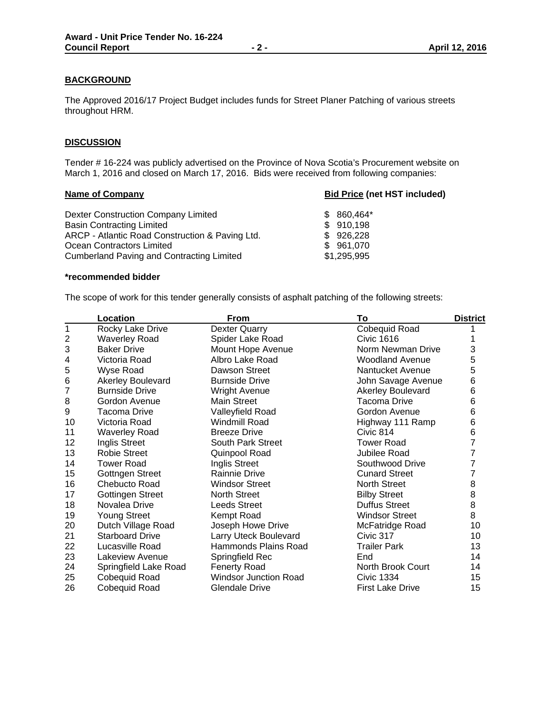## **BACKGROUND**

The Approved 2016/17 Project Budget includes funds for Street Planer Patching of various streets throughout HRM.

### **DISCUSSION**

Tender # 16-224 was publicly advertised on the Province of Nova Scotia's Procurement website on March 1, 2016 and closed on March 17, 2016. Bids were received from following companies:

## **Name of Company Bid Price (net HST included)**

| Dexter Construction Company Limited             | $$860.464*$ |
|-------------------------------------------------|-------------|
| <b>Basin Contracting Limited</b>                | \$910,198   |
| ARCP - Atlantic Road Construction & Paving Ltd. | \$926,228   |
| Ocean Contractors Limited                       | \$961,070   |
| Cumberland Paving and Contracting Limited       | \$1,295,995 |

### **\*recommended bidder**

The scope of work for this tender generally consists of asphalt patching of the following streets:

|                | Location                | From                         | To                       | <b>District</b> |
|----------------|-------------------------|------------------------------|--------------------------|-----------------|
| 1              | Rocky Lake Drive        | <b>Dexter Quarry</b>         | Cobequid Road            |                 |
| $\overline{2}$ | <b>Waverley Road</b>    | Spider Lake Road             | Civic 1616               |                 |
| 3              | <b>Baker Drive</b>      | Mount Hope Avenue            | Norm Newman Drive        | 3               |
| 4              | Victoria Road           | Albro Lake Road              | <b>Woodland Avenue</b>   | 5               |
| 5              | Wyse Road               | Dawson Street                | Nantucket Avenue         | 5               |
| 6              | Akerley Boulevard       | <b>Burnside Drive</b>        | John Savage Avenue       | 6               |
| $\overline{7}$ | <b>Burnside Drive</b>   | <b>Wright Avenue</b>         | <b>Akerley Boulevard</b> | 6               |
| 8              | Gordon Avenue           | <b>Main Street</b>           | <b>Tacoma Drive</b>      | 6               |
| 9              | Tacoma Drive            | Valleyfield Road             | Gordon Avenue            | 6               |
| 10             | Victoria Road           | <b>Windmill Road</b>         | Highway 111 Ramp         | 6               |
| 11             | <b>Waverley Road</b>    | <b>Breeze Drive</b>          | Civic 814                | 6               |
| 12             | Inglis Street           | South Park Street            | <b>Tower Road</b>        | 7               |
| 13             | <b>Robie Street</b>     | Quinpool Road                | Jubilee Road             | 7               |
| 14             | <b>Tower Road</b>       | Inglis Street                | Southwood Drive          | 7               |
| 15             | <b>Gottngen Street</b>  | <b>Rainnie Drive</b>         | <b>Cunard Street</b>     | 7               |
| 16             | Chebucto Road           | <b>Windsor Street</b>        | <b>North Street</b>      | 8               |
| 17             | <b>Gottingen Street</b> | <b>North Street</b>          | <b>Bilby Street</b>      | 8               |
| 18             | Novalea Drive           | <b>Leeds Street</b>          | Duffus Street            | 8               |
| 19             | <b>Young Street</b>     | Kempt Road                   | <b>Windsor Street</b>    | 8               |
| 20             | Dutch Village Road      | Joseph Howe Drive            | McFatridge Road          | 10              |
| 21             | <b>Starboard Drive</b>  | Larry Uteck Boulevard        | Civic 317                | 10              |
| 22             | Lucasville Road         | Hammonds Plains Road         | <b>Trailer Park</b>      | 13              |
| 23             | Lakeview Avenue         | Springfield Rec              | End                      | 14              |
| 24             | Springfield Lake Road   | <b>Fenerty Road</b>          | North Brook Court        | 14              |
| 25             | Cobequid Road           | <b>Windsor Junction Road</b> | <b>Civic 1334</b>        | 15              |
| 26             | Cobequid Road           | <b>Glendale Drive</b>        | <b>First Lake Drive</b>  | 15              |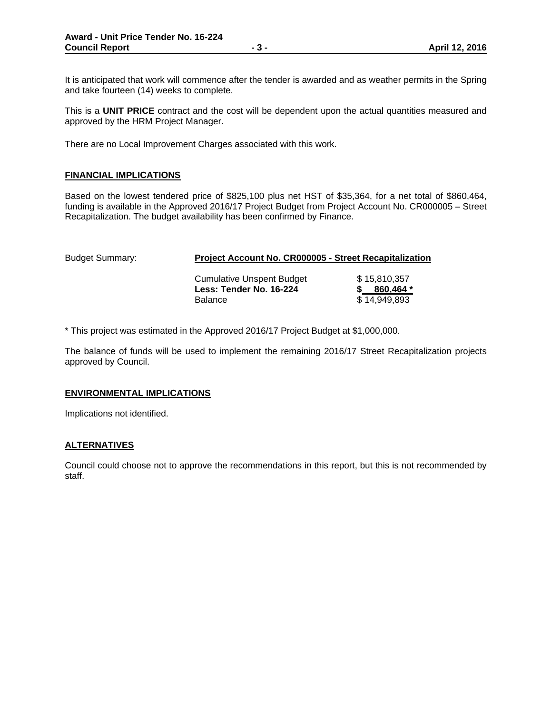It is anticipated that work will commence after the tender is awarded and as weather permits in the Spring and take fourteen (14) weeks to complete.

This is a **UNIT PRICE** contract and the cost will be dependent upon the actual quantities measured and approved by the HRM Project Manager.

There are no Local Improvement Charges associated with this work.

### **FINANCIAL IMPLICATIONS**

Based on the lowest tendered price of \$825,100 plus net HST of \$35,364, for a net total of \$860,464, funding is available in the Approved 2016/17 Project Budget from Project Account No. CR000005 – Street Recapitalization. The budget availability has been confirmed by Finance.

| <b>Budget Summary:</b> | <b>Project Account No. CR000005 - Street Recapitalization</b>                 |                                           |  |
|------------------------|-------------------------------------------------------------------------------|-------------------------------------------|--|
|                        | <b>Cumulative Unspent Budget</b><br>Less: Tender No. 16-224<br><b>Balance</b> | \$15.810.357<br>860,464 *<br>\$14.949.893 |  |

\* This project was estimated in the Approved 2016/17 Project Budget at \$1,000,000.

The balance of funds will be used to implement the remaining 2016/17 Street Recapitalization projects approved by Council.

### **ENVIRONMENTAL IMPLICATIONS**

Implications not identified.

### **ALTERNATIVES**

Council could choose not to approve the recommendations in this report, but this is not recommended by staff.